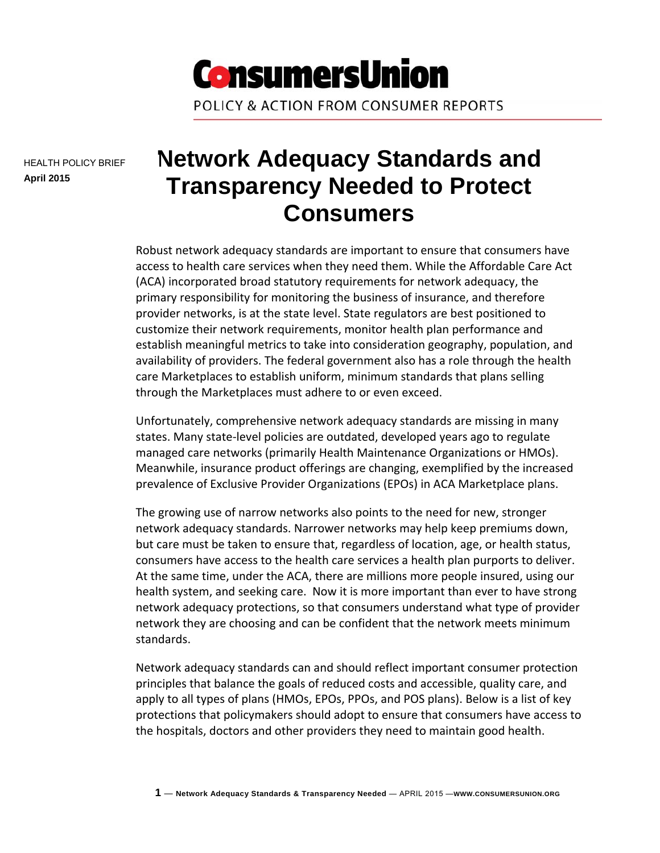

HEALTH POLICY BRIEF **April 2015** 

# **Network Adequacy Standards and Transparency Needed to Protect Consumers**

Robust network adequacy standards are important to ensure that consumers have access to health care services when they need them. While the Affordable Care Act (ACA) incorporated broad statutory requirements for network adequacy, the primary responsibility for monitoring the business of insurance, and therefore provider networks, is at the state level. State regulators are best positioned to customize their network requirements, monitor health plan performance and establish meaningful metrics to take into consideration geography, population, and availability of providers. The federal government also has a role through the health care Marketplaces to establish uniform, minimum standards that plans selling through the Marketplaces must adhere to or even exceed.

Unfortunately, comprehensive network adequacy standards are missing in many states. Many state‐level policies are outdated, developed years ago to regulate managed care networks (primarily Health Maintenance Organizations or HMOs). Meanwhile, insurance product offerings are changing, exemplified by the increased prevalence of Exclusive Provider Organizations (EPOs) in ACA Marketplace plans.

The growing use of narrow networks also points to the need for new, stronger network adequacy standards. Narrower networks may help keep premiums down, but care must be taken to ensure that, regardless of location, age, or health status, consumers have access to the health care services a health plan purports to deliver. At the same time, under the ACA, there are millions more people insured, using our health system, and seeking care. Now it is more important than ever to have strong network adequacy protections, so that consumers understand what type of provider network they are choosing and can be confident that the network meets minimum standards.

Network adequacy standards can and should reflect important consumer protection principles that balance the goals of reduced costs and accessible, quality care, and apply to all types of plans (HMOs, EPOs, PPOs, and POS plans). Below is a list of key protections that policymakers should adopt to ensure that consumers have access to the hospitals, doctors and other providers they need to maintain good health.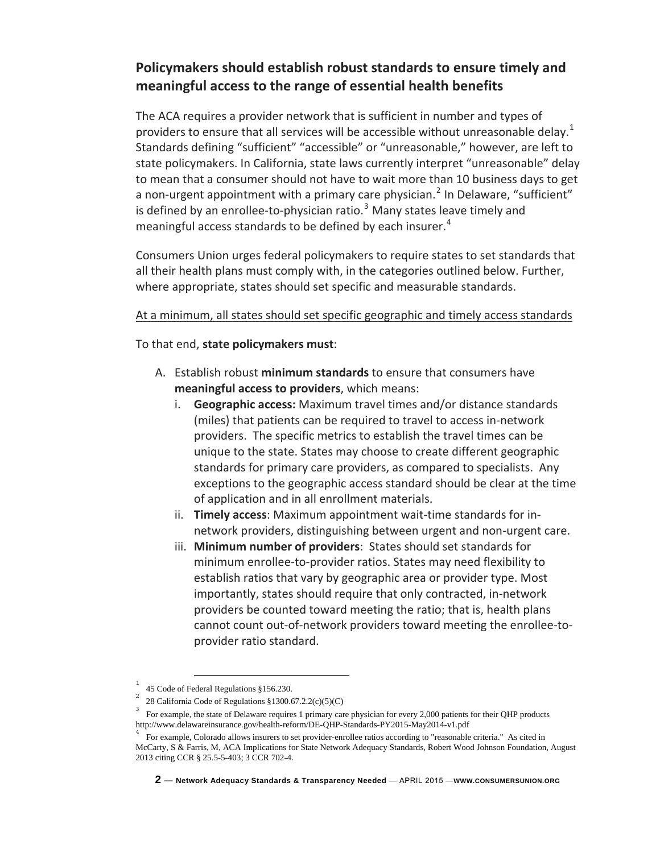# **Policymakers should establish robust standards to ensure timely and meaningful access to the range of essential health benefits**

The ACA requires a provider network that is sufficient in number and types of providers to ensure that all services will be accessible without unreasonable delay.<sup>[1](#page-1-0)</sup> Standards defining "sufficient" "accessible" or "unreasonable," however, are left to state policymakers. In California, state laws currently interpret "unreasonable" delay to mean that a consumer should not have to wait more than 10 business days to get a non-urgent appointment with a primary care physician.<sup>[2](#page-1-1)</sup> In Delaware, "sufficient" is defined by an enrollee-to-physician ratio.<sup>[3](#page-1-2)</sup> Many states leave timely and meaningful access standards to be defined by each insurer. $4$ 

Consumers Union urges federal policymakers to require states to set standards that all their health plans must comply with, in the categories outlined below. Further, where appropriate, states should set specific and measurable standards.

#### At a minimum, all states should set specific geographic and timely access standards

To that end, **state policymakers must**:

- A. Establish robust **minimum standards** to ensure that consumers have **meaningful access to providers**, which means:
	- i. **Geographic access:** Maximum travel times and/or distance standards (miles) that patients can be required to travel to access in‐network providers. The specific metrics to establish the travel times can be unique to the state. States may choose to create different geographic standards for primary care providers, as compared to specialists. Any exceptions to the geographic access standard should be clear at the time of application and in all enrollment materials.
	- ii. **Timely access**: Maximum appointment wait‐time standards for in‐ network providers, distinguishing between urgent and non‐urgent care.
	- iii. **Minimum number of providers**: States should set standards for minimum enrollee‐to‐provider ratios. States may need flexibility to establish ratios that vary by geographic area or provider type. Most importantly, states should require that only contracted, in‐network providers be counted toward meeting the ratio; that is, health plans cannot count out‐of‐network providers toward meeting the enrollee‐to‐ provider ratio standard.

<span id="page-1-0"></span> $\frac{1}{1}$ 45 Code of Federal Regulations §156.230.

<sup>28</sup> California Code of Regulations  $$1300.67.2.2(c)(5)(C)$ 

<span id="page-1-2"></span><span id="page-1-1"></span>For example, the state of Delaware requires 1 primary care physician for every 2,000 patients for their QHP products http://www.delawareinsurance.gov/health-reform/DE-QHP-Standards-PY2015-May2014-v1.pdf<br><sup>4</sup> For example, Colorado allows insurers to set provider-enrollee ratios according to "reasonable criteria." As cited in

<span id="page-1-3"></span>McCarty, S & Farris, M, ACA Implications for State Network Adequacy Standards, Robert Wood Johnson Foundation, August 2013 citing CCR § 25.5-5-403; 3 CCR 702-4.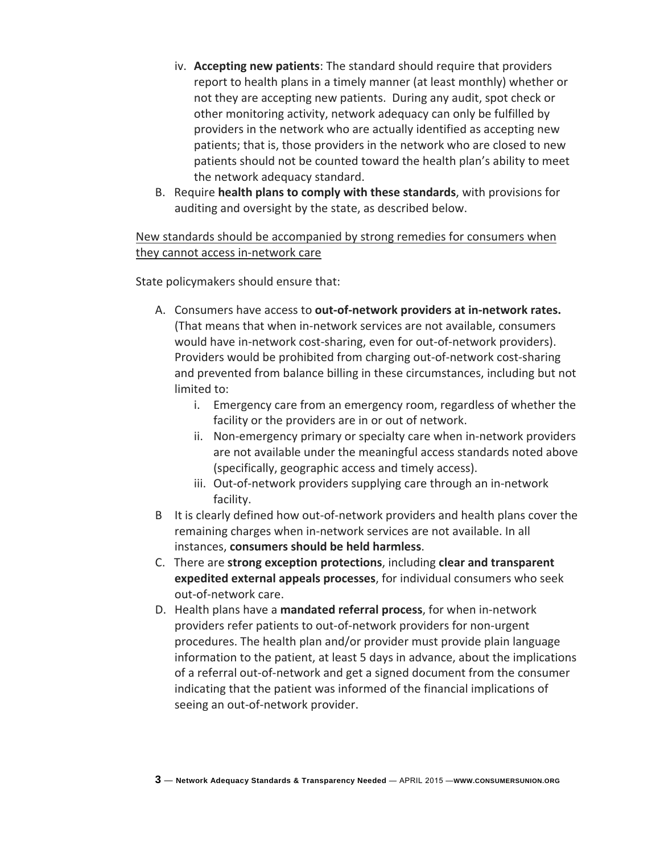- iv. **Accepting new patients**: The standard should require that providers report to health plans in a timely manner (at least monthly) whether or not they are accepting new patients. During any audit, spot check or other monitoring activity, network adequacy can only be fulfilled by providers in the network who are actually identified as accepting new patients; that is, those providers in the network who are closed to new patients should not be counted toward the health plan's ability to meet the network adequacy standard.
- B. Require **health plans to comply with these standards**, with provisions for auditing and oversight by the state, as described below.

#### New standards should be accompanied by strong remedies for consumers when they cannot access in-network care

State policymakers should ensure that:

- A. Consumers have access to **out‐of‐network providers at in‐network rates.** (That means that when in‐network services are not available, consumers would have in-network cost-sharing, even for out-of-network providers). Providers would be prohibited from charging out‐of‐network cost‐sharing and prevented from balance billing in these circumstances, including but not limited to:
	- i. Emergency care from an emergency room, regardless of whether the facility or the providers are in or out of network.
	- ii. Non-emergency primary or specialty care when in-network providers are not available under the meaningful access standards noted above (specifically, geographic access and timely access).
	- iii. Out‐of‐network providers supplying care through an in‐network facility.
- B It is clearly defined how out‐of‐network providers and health plans cover the remaining charges when in‐network services are not available. In all instances, **consumers should be held harmless**.
- C. There are **strong exception protections**, including **clear and transparent expedited external appeals processes**, for individual consumers who seek out‐of‐network care.
- D. Health plans have a **mandated referral process**, for when in‐network providers refer patients to out‐of‐network providers for non‐urgent procedures. The health plan and/or provider must provide plain language information to the patient, at least 5 days in advance, about the implications of a referral out‐of‐network and get a signed document from the consumer indicating that the patient was informed of the financial implications of seeing an out‐of‐network provider.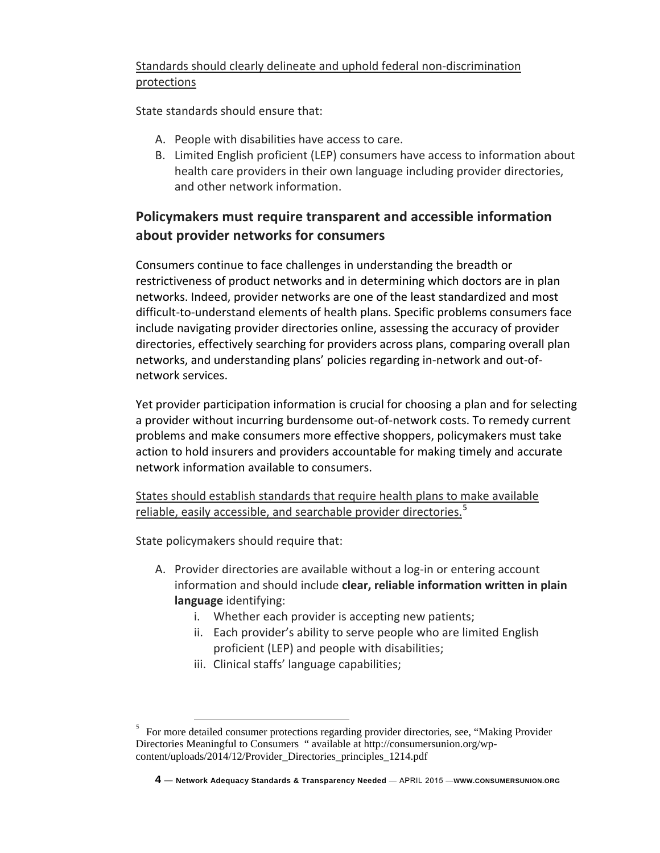# Standards should clearly delineate and uphold federal non‐discrimination protections

State standards should ensure that:

- A. People with disabilities have access to care.
- B. Limited English proficient (LEP) consumers have access to information about health care providers in their own language including provider directories, and other network information.

# **Policymakers must require transparent and accessible information about provider networks for consumers**

Consumers continue to face challenges in understanding the breadth or restrictiveness of product networks and in determining which doctors are in plan networks. Indeed, provider networks are one of the least standardized and most difficult‐to‐understand elements of health plans. Specific problems consumers face include navigating provider directories online, assessing the accuracy of provider directories, effectively searching for providers across plans, comparing overall plan networks, and understanding plans' policies regarding in‐network and out‐of‐ network services.

Yet provider participation information is crucial for choosing a plan and for selecting a provider without incurring burdensome out‐of‐network costs. To remedy current problems and make consumers more effective shoppers, policymakers must take action to hold insurers and providers accountable for making timely and accurate network information available to consumers.

States should establish standards that require health plans to make available reliable, easily accessible, and searchable provider directories.<sup>[5](#page-3-0)</sup>

State policymakers should require that:

- A. Provider directories are available without a log-in or entering account information and should include **clear, reliable information written in plain language** identifying:
	- i. Whether each provider is accepting new patients;
	- ii. Each provider's ability to serve people who are limited English proficient (LEP) and people with disabilities;
	- iii. Clinical staffs' language capabilities;

<span id="page-3-0"></span><sup>&</sup>lt;sup>5</sup> For more detailed consumer protections regarding provider directories, see, "Making Provider Directories Meaningful to Consumers " available at http://consumersunion.org/wpcontent/uploads/2014/12/Provider\_Directories\_principles\_1214.pdf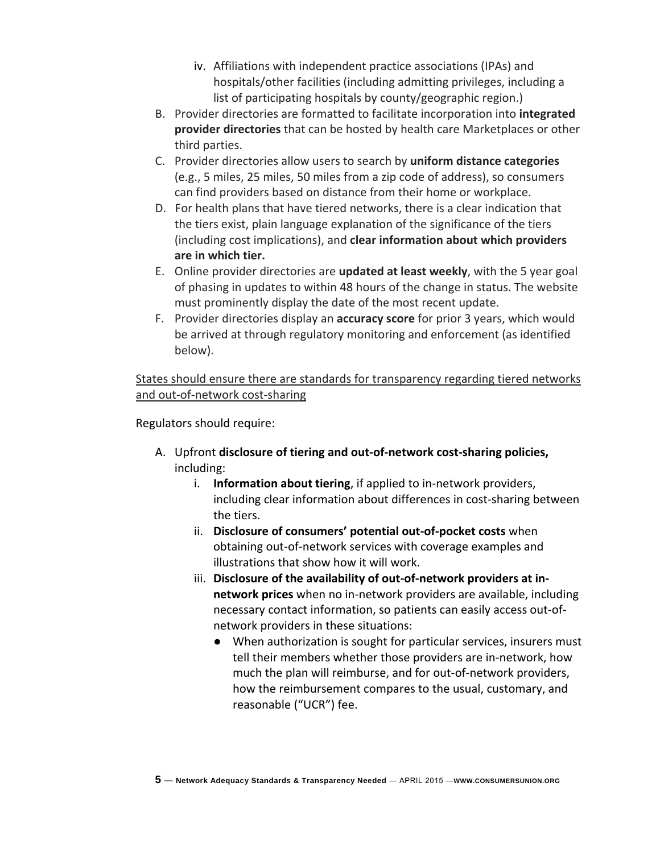- iv. Affiliations with independent practice associations (IPAs) and hospitals/other facilities (including admitting privileges, including a list of participating hospitals by county/geographic region.)
- B. Provider directories are formatted to facilitate incorporation into **integrated provider directories** that can be hosted by health care Marketplaces or other third parties.
- C. Provider directories allow users to search by **uniform distance categories** (e.g., 5 miles, 25 miles, 50 miles from a zip code of address), so consumers can find providers based on distance from their home or workplace.
- D. For health plans that have tiered networks, there is a clear indication that the tiers exist, plain language explanation of the significance of the tiers (including cost implications), and **clear information about which providers are in which tier.**
- E. Online provider directories are **updated at least weekly**, with the 5 year goal of phasing in updates to within 48 hours of the change in status. The website must prominently display the date of the most recent update.
- F. Provider directories display an **accuracy score** for prior 3 years, which would be arrived at through regulatory monitoring and enforcement (as identified below).

States should ensure there are standards for transparency regarding tiered networks and out-of-network cost-sharing

Regulators should require:

- A. Upfront **disclosure of tiering and out‐of‐network cost‐sharing policies,** including:
	- i. **Information about tiering**, if applied to in‐network providers, including clear information about differences in cost‐sharing between the tiers.
	- ii. **Disclosure of consumers' potential out‐of‐pocket costs** when obtaining out‐of‐network services with coverage examples and illustrations that show how it will work.
	- iii. **Disclosure of the availability of out‐of‐network providers at in‐ network prices** when no in‐network providers are available, including necessary contact information, so patients can easily access out‐of‐ network providers in these situations:
		- When authorization is sought for particular services, insurers must tell their members whether those providers are in‐network, how much the plan will reimburse, and for out‐of‐network providers, how the reimbursement compares to the usual, customary, and reasonable ("UCR") fee.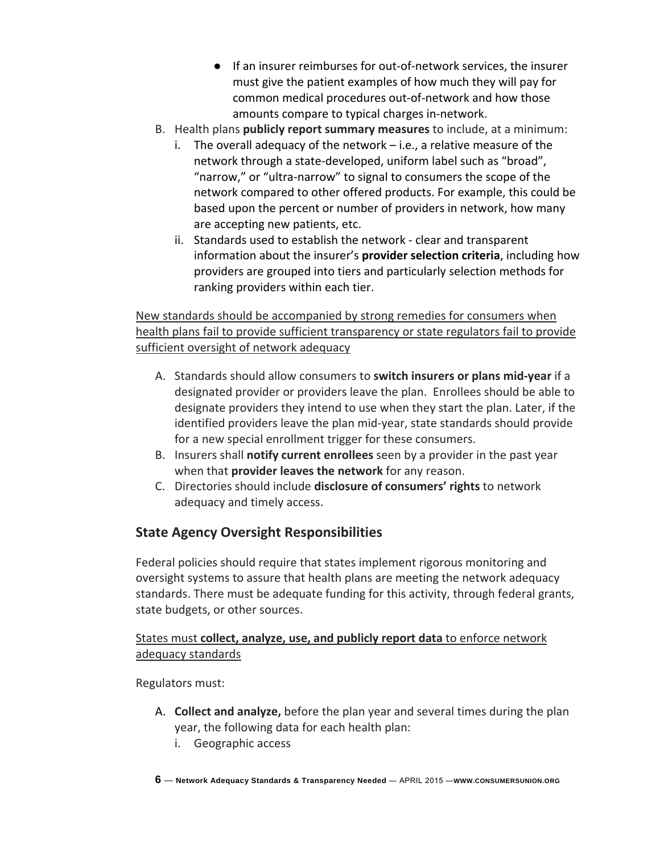- If an insurer reimburses for out-of-network services, the insurer must give the patient examples of how much they will pay for common medical procedures out‐of‐network and how those amounts compare to typical charges in‐network.
- B. Health plans **publicly report summary measures** to include, at a minimum:
	- i. The overall adequacy of the network  $-i.e.,$  a relative measure of the network through a state‐developed, uniform label such as "broad", "narrow," or "ultra‐narrow" to signal to consumers the scope of the network compared to other offered products. For example, this could be based upon the percent or number of providers in network, how many are accepting new patients, etc.
	- ii. Standards used to establish the network ‐ clear and transparent information about the insurer's **provider selection criteria**, including how providers are grouped into tiers and particularly selection methods for ranking providers within each tier.

# New standards should be accompanied by strong remedies for consumers when health plans fail to provide sufficient transparency or state regulators fail to provide sufficient oversight of network adequacy

- A. Standards should allow consumers to **switch insurers or plans mid‐year** if a designated provider or providers leave the plan. Enrollees should be able to designate providers they intend to use when they start the plan. Later, if the identified providers leave the plan mid‐year, state standards should provide for a new special enrollment trigger for these consumers.
- B. Insurers shall **notify current enrollees** seen by a provider in the past year when that **provider leaves the network** for any reason.
- C. Directories should include **disclosure of consumers' rights** to network adequacy and timely access.

# **State Agency Oversight Responsibilities**

Federal policies should require that states implement rigorous monitoring and oversight systems to assure that health plans are meeting the network adequacy standards. There must be adequate funding for this activity, through federal grants, state budgets, or other sources.

### States must **collect, analyze, use, and publicly report data** to enforce network adequacy standards

Regulators must:

- A. **Collect and analyze,** before the plan year and several times during the plan year, the following data for each health plan:
	- i. Geographic access
- **6 Network Adequacy Standards & Transparency Needed**  APRIL 2015 —**WWW.CONSUMERSUNION.ORG**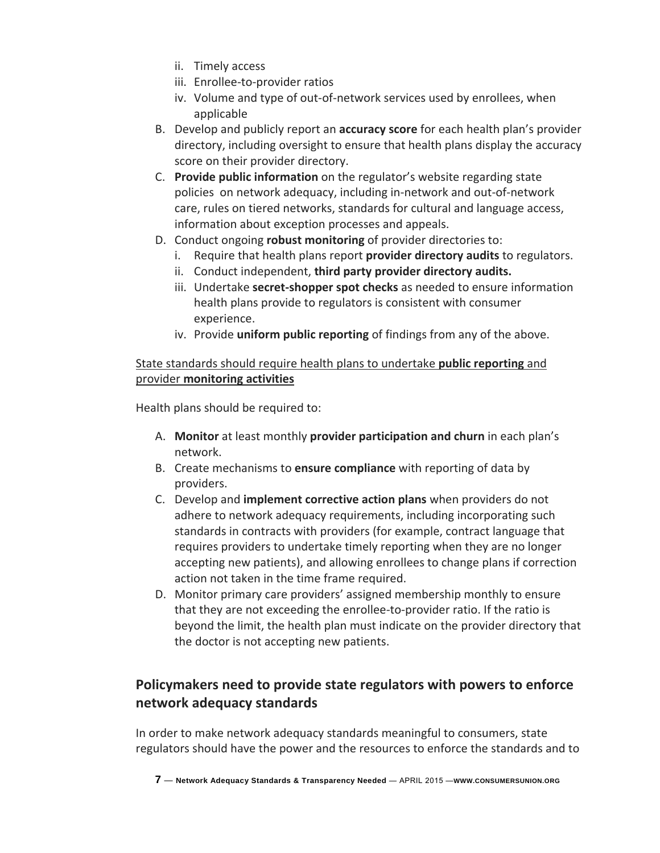- ii. Timely access
- iii. Enrollee‐to‐provider ratios
- iv. Volume and type of out-of-network services used by enrollees, when applicable
- B. Develop and publicly report an **accuracy score** for each health plan's provider directory, including oversight to ensure that health plans display the accuracy score on their provider directory.
- C. **Provide public information** on the regulator's website regarding state policies on network adequacy, including in‐network and out‐of‐network care, rules on tiered networks, standards for cultural and language access, information about exception processes and appeals.
- D. Conduct ongoing **robust monitoring** of provider directories to:
	- i. Require that health plans report **provider directory audits** to regulators.
	- ii. Conduct independent, **third party provider directory audits.**
	- iii. Undertake **secret‐shopper spot checks** as needed to ensure information health plans provide to regulators is consistent with consumer experience.
	- iv. Provide **uniform public reporting** of findings from any of the above.

### State standards should require health plans to undertake **public reporting** and provider **monitoring activities**

Health plans should be required to:

- A. **Monitor** at least monthly **provider participation and churn** in each plan's network.
- B. Create mechanisms to **ensure compliance** with reporting of data by providers.
- C. Develop and **implement corrective action plans** when providers do not adhere to network adequacy requirements, including incorporating such standards in contracts with providers (for example, contract language that requires providers to undertake timely reporting when they are no longer accepting new patients), and allowing enrollees to change plans if correction action not taken in the time frame required.
- D. Monitor primary care providers' assigned membership monthly to ensure that they are not exceeding the enrollee‐to‐provider ratio. If the ratio is beyond the limit, the health plan must indicate on the provider directory that the doctor is not accepting new patients.

# **Policymakers need to provide state regulators with powers to enforce network adequacy standards**

In order to make network adequacy standards meaningful to consumers, state regulators should have the power and the resources to enforce the standards and to